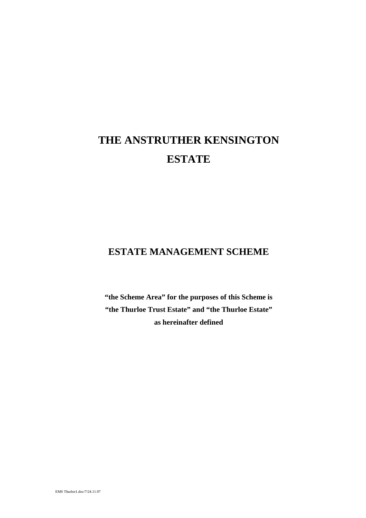# **THE ANSTRUTHER KENSINGTON ESTATE**

### **ESTATE MANAGEMENT SCHEME**

**"the Scheme Area" for the purposes of this Scheme is "the Thurloe Trust Estate" and "the Thurloe Estate" as hereinafter defined**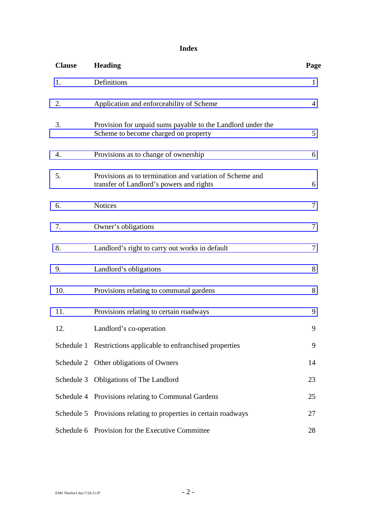### **Index**

| <b>Clause</b> | <b>Heading</b>                                                                                       | Page         |
|---------------|------------------------------------------------------------------------------------------------------|--------------|
| 1.            | Definitions                                                                                          | $\mathbf{1}$ |
| 2.            | Application and enforceability of Scheme                                                             | 4            |
| 3.            | Provision for unpaid sums payable to the Landlord under the<br>Scheme to become charged on property  | 5            |
| 4.            | Provisions as to change of ownership                                                                 | 6            |
| 5.            | Provisions as to termination and variation of Scheme and<br>transfer of Landlord's powers and rights | 6            |
| 6.            | <b>Notices</b>                                                                                       | 7            |
| 7.            | Owner's obligations                                                                                  | 7            |
| 8.            | Landlord's right to carry out works in default                                                       | 7            |
| 9.            | Landlord's obligations                                                                               | 8            |
| 10.           | Provisions relating to communal gardens                                                              | 8            |
| 11.           | Provisions relating to certain roadways                                                              | 9            |
| 12.           | Landlord's co-operation                                                                              | 9            |
|               | Schedule 1 Restrictions applicable to enfranchised properties                                        | 9            |
|               | Schedule 2 Other obligations of Owners                                                               | 14           |
| Schedule 3    | Obligations of The Landlord                                                                          | 23           |
|               | Schedule 4 Provisions relating to Communal Gardens                                                   | 25           |
|               | Schedule 5 Provisions relating to properties in certain roadways                                     | 27           |
|               | Schedule 6 Provision for the Executive Committee                                                     | 28           |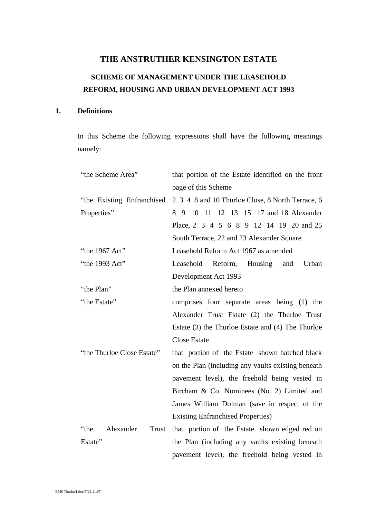## <span id="page-2-0"></span>**THE ANSTRUTHER KENSINGTON ESTATE SCHEME OF MANAGEMENT UNDER THE LEASEHOLD REFORM, HOUSING AND URBAN DEVELOPMENT ACT 1993**

### **1. Definitions**

In this Scheme the following expressions shall have the following meanings namely:

| "the Scheme Area"          | that portion of the Estate identified on the front  |
|----------------------------|-----------------------------------------------------|
|                            | page of this Scheme                                 |
| "the Existing Enfranchised | 2 3 4 8 and 10 Thurloe Close, 8 North Terrace, 6    |
| Properties"                | 8 9 10 11 12 13 15 17 and 18 Alexander              |
|                            | Place, 2 3 4 5 6 8 9 12 14 19 20 and 25             |
|                            | South Terrace, 22 and 23 Alexander Square           |
| "the 1967 Act"             | Leasehold Reform Act 1967 as amended                |
| "the 1993 Act"             | Leasehold<br>Reform, Housing and<br>Urban           |
|                            | Development Act 1993                                |
| "the Plan"                 | the Plan annexed hereto                             |
| "the Estate"               | comprises four separate areas being (1) the         |
|                            | Alexander Trust Estate (2) the Thurloe Trust        |
|                            | Estate (3) the Thurloe Estate and (4) The Thurloe   |
|                            | <b>Close Estate</b>                                 |
| "the Thurloe Close Estate" | that portion of the Estate shown hatched black      |
|                            | on the Plan (including any vaults existing beneath) |
|                            | pavement level), the freehold being vested in       |
|                            | Bircham & Co. Nominees (No. 2) Limited and          |
|                            | James William Dolman (save in respect of the        |
|                            | <b>Existing Enfranchised Properties</b> )           |
| "the<br>Alexander<br>Trust | that portion of the Estate shown edged red on       |
| Estate"                    | the Plan (including any vaults existing beneath     |
|                            | pavement level), the freehold being vested in       |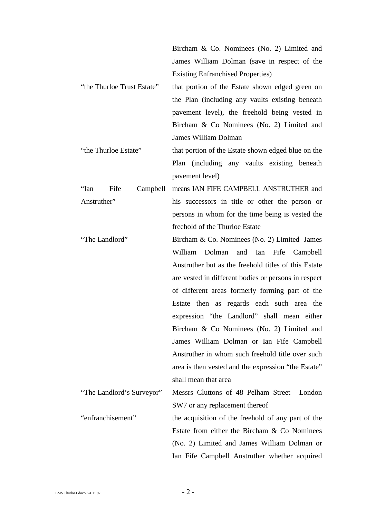|                                  | Bircham & Co. Nominees (No. 2) Limited and           |
|----------------------------------|------------------------------------------------------|
|                                  | James William Dolman (save in respect of the         |
|                                  | <b>Existing Enfranchised Properties</b> )            |
| "the Thurloe Trust Estate"       | that portion of the Estate shown edged green on      |
|                                  | the Plan (including any vaults existing beneath      |
|                                  | pavement level), the freehold being vested in        |
|                                  | Bircham & Co Nominees (No. 2) Limited and            |
|                                  | <b>James William Dolman</b>                          |
| "the Thurloe Estate"             | that portion of the Estate shown edged blue on the   |
|                                  | Plan (including any vaults existing beneath          |
|                                  | pavement level)                                      |
| Fife<br><b>''Ian</b><br>Campbell | means IAN FIFE CAMPBELL ANSTRUTHER and               |
| Anstruther"                      | his successors in title or other the person or       |
|                                  | persons in whom for the time being is vested the     |
|                                  | freehold of the Thurloe Estate                       |
| "The Landlord"                   | Bircham & Co. Nominees (No. 2) Limited James         |
|                                  | William<br>Dolman and Ian Fife Campbell              |
|                                  | Anstruther but as the freehold titles of this Estate |
|                                  | are vested in different bodies or persons in respect |
|                                  | of different areas formerly forming part of the      |
|                                  | Estate then as regards each such area the            |
|                                  | expression "the Landlord" shall mean either          |
|                                  | Bircham & Co Nominees (No. 2) Limited and            |
|                                  | James William Dolman or Ian Fife Campbell            |
|                                  | Anstruther in whom such freehold title over such     |
|                                  | area is then vested and the expression "the Estate"  |
|                                  | shall mean that area                                 |
| "The Landlord's Surveyor"        | Messrs Cluttons of 48 Pelham Street London           |
|                                  | SW7 or any replacement thereof                       |
| "enfranchisement"                | the acquisition of the freehold of any part of the   |
|                                  | Estate from either the Bircham & Co Nominees         |
|                                  | (No. 2) Limited and James William Dolman or          |
|                                  | Ian Fife Campbell Anstruther whether acquired        |
|                                  |                                                      |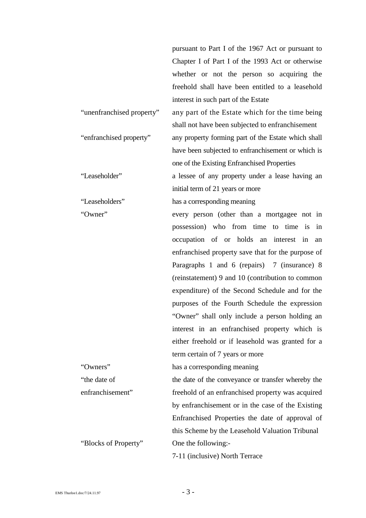|                           | pursuant to Part I of the 1967 Act or pursuant to   |
|---------------------------|-----------------------------------------------------|
|                           | Chapter I of Part I of the 1993 Act or otherwise    |
|                           | whether or not the person so acquiring the          |
|                           | freehold shall have been entitled to a leasehold    |
|                           | interest in such part of the Estate                 |
| "unenfranchised property" | any part of the Estate which for the time being     |
|                           | shall not have been subjected to enfranchisement    |
| "enfranchised property"   | any property forming part of the Estate which shall |
|                           | have been subjected to enfranchisement or which is  |
|                           | one of the Existing Enfranchised Properties         |
| "Leaseholder"             | a lessee of any property under a lease having an    |
|                           | initial term of 21 years or more                    |
| "Leaseholders"            | has a corresponding meaning                         |
| "Owner"                   | every person (other than a mortgagee not in         |
|                           | possession) who from time to time is in             |
|                           | occupation of or holds an interest in<br>an         |
|                           | enfranchised property save that for the purpose of  |
|                           | Paragraphs 1 and 6 (repairs) 7 (insurance) 8        |
|                           | (reinstatement) 9 and 10 (contribution to common    |
|                           | expenditure) of the Second Schedule and for the     |
|                           | purposes of the Fourth Schedule the expression      |
|                           | "Owner" shall only include a person holding an      |
|                           | interest in an enfranchised property which is       |
|                           | either freehold or if leasehold was granted for a   |
|                           | term certain of 7 years or more                     |
| "Owners"                  | has a corresponding meaning                         |
| "the date of              | the date of the conveyance or transfer whereby the  |
| enfranchisement"          | freehold of an enfranchised property was acquired   |
|                           | by enfranchisement or in the case of the Existing   |
|                           | Enfranchised Properties the date of approval of     |
|                           | this Scheme by the Leasehold Valuation Tribunal     |
| "Blocks of Property"      | One the following:-                                 |
|                           | 7-11 (inclusive) North Terrace                      |
|                           |                                                     |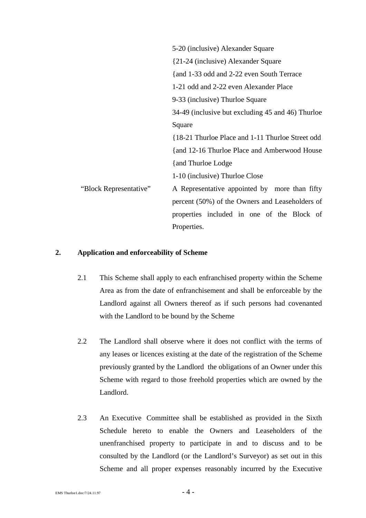<span id="page-5-0"></span>

|                        | 5-20 (inclusive) Alexander Square                 |
|------------------------|---------------------------------------------------|
|                        | {21-24 (inclusive) Alexander Square               |
|                        | {and 1-33 odd and 2-22 even South Terrace         |
|                        | 1-21 odd and 2-22 even Alexander Place            |
|                        | 9-33 (inclusive) Thurloe Square                   |
|                        | 34-49 (inclusive but excluding 45 and 46) Thurloe |
|                        | Square                                            |
|                        | {18-21 Thurloe Place and 1-11 Thurloe Street odd  |
|                        | {and 12-16 Thurloe Place and Amberwood House      |
|                        | {and Thurloe Lodge}                               |
|                        | 1-10 (inclusive) Thurloe Close                    |
| "Block Representative" | A Representative appointed by more than fifty     |
|                        | percent (50%) of the Owners and Leaseholders of   |
|                        | properties included in one of the Block of        |
|                        | Properties.                                       |

#### **2. Application and enforceability of Scheme**

- 2.1 This Scheme shall apply to each enfranchised property within the Scheme Area as from the date of enfranchisement and shall be enforceable by the Landlord against all Owners thereof as if such persons had covenanted with the Landlord to be bound by the Scheme
- 2.2 The Landlord shall observe where it does not conflict with the terms of any leases or licences existing at the date of the registration of the Scheme previously granted by the Landlord the obligations of an Owner under this Scheme with regard to those freehold properties which are owned by the Landlord.
- 2.3 An Executive Committee shall be established as provided in the Sixth Schedule hereto to enable the Owners and Leaseholders of the unenfranchised property to participate in and to discuss and to be consulted by the Landlord (or the Landlord's Surveyor) as set out in this Scheme and all proper expenses reasonably incurred by the Executive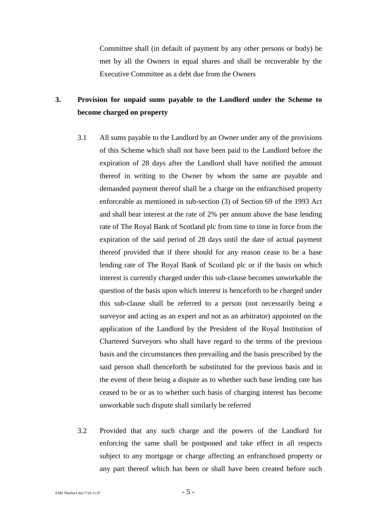<span id="page-6-0"></span>Committee shall (in default of payment by any other persons or body) be met by all the Owners in equal shares and shall be recoverable by the Executive Committee as a debt due from the Owners

### **3. Provision for unpaid sums payable to the Landlord under the Scheme to become charged on property**

- 3.1 All sums payable to the Landlord by an Owner under any of the provisions of this Scheme which shall not have been paid to the Landlord before the expiration of 28 days after the Landlord shall have notified the amount thereof in writing to the Owner by whom the same are payable and demanded payment thereof shall be a charge on the enfranchised property enforceable as mentioned in sub-section (3) of Section 69 of the 1993 Act and shall bear interest at the rate of 2% per annum above the base lending rate of The Royal Bank of Scotland plc from time to time in force from the expiration of the said period of 28 days until the date of actual payment thereof provided that if there should for any reason cease to be a base lending rate of The Royal Bank of Scotland plc or if the basis on which interest is currently charged under this sub-clause becomes unworkable the question of the basis upon which interest is henceforth to be charged under this sub-clause shall be referred to a person (not necessarily being a surveyor and acting as an expert and not as an arbitrator) appointed on the application of the Landlord by the President of the Royal Institution of Chartered Surveyors who shall have regard to the terms of the previous basis and the circumstances then prevailing and the basis prescribed by the said person shall thenceforth be substituted for the previous basis and in the event of there being a dispute as to whether such base lending rate has ceased to be or as to whether such basis of charging interest has become unworkable such dispute shall similarly be referred
- 3.2 Provided that any such charge and the powers of the Landlord for enforcing the same shall be postponed and take effect in all respects subject to any mortgage or charge affecting an enfranchised property or any part thereof which has been or shall have been created before such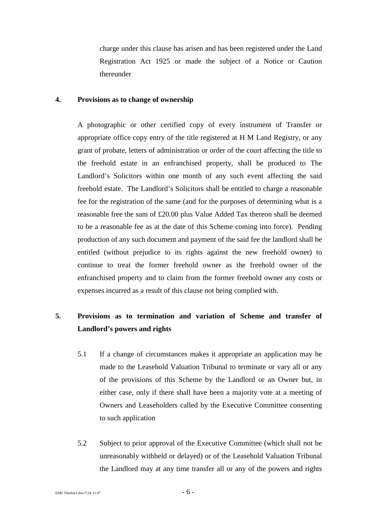<span id="page-7-0"></span>charge under this clause has arisen and has been registered under the Land Registration Act 1925 or made the subject of a Notice or Caution thereunder

#### **4. Provisions as to change of ownership**

A photographic or other certified copy of every instrument of Transfer or appropriate office copy entry of the title registered at H M Land Registry, or any grant of probate, letters of administration or order of the court affecting the title to the freehold estate in an enfranchised property, shall be produced to The Landlord's Solicitors within one month of any such event affecting the said freehold estate. The Landlord's Solicitors shall be entitled to charge a reasonable fee for the registration of the same (and for the purposes of determining what is a reasonable free the sum of £20.00 plus Value Added Tax thereon shall be deemed to be a reasonable fee as at the date of this Scheme coming into force). Pending production of any such document and payment of the said fee the landlord shall be entitled (without prejudice to its rights against the new freehold owner) to continue to treat the former freehold owner as the freehold owner of the enfranchised property and to claim from the former freehold owner any costs or expenses incurred as a result of this clause not being complied with.

### **5. Provisions as to termination and variation of Scheme and transfer of Landlord's powers and rights**

- 5.1 If a change of circumstances makes it appropriate an application may be made to the Leasehold Valuation Tribunal to terminate or vary all or any of the provisions of this Scheme by the Landlord or an Owner but, in either case, only if there shall have been a majority vote at a meeting of Owners and Leaseholders called by the Executive Committee consenting to such application
- 5.2 Subject to prior approval of the Executive Committee (which shall not be unreasonably withheld or delayed) or of the Leasehold Valuation Tribunal the Landlord may at any time transfer all or any of the powers and rights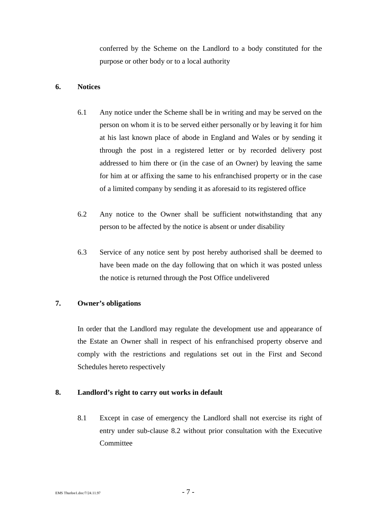conferred by the Scheme on the Landlord to a body constituted for the purpose or other body or to a local authority

### <span id="page-8-0"></span>**6. Notices**

- 6.1 Any notice under the Scheme shall be in writing and may be served on the person on whom it is to be served either personally or by leaving it for him at his last known place of abode in England and Wales or by sending it through the post in a registered letter or by recorded delivery post addressed to him there or (in the case of an Owner) by leaving the same for him at or affixing the same to his enfranchised property or in the case of a limited company by sending it as aforesaid to its registered office
- 6.2 Any notice to the Owner shall be sufficient notwithstanding that any person to be affected by the notice is absent or under disability
- 6.3 Service of any notice sent by post hereby authorised shall be deemed to have been made on the day following that on which it was posted unless the notice is returned through the Post Office undelivered

### **7. Owner's obligations**

In order that the Landlord may regulate the development use and appearance of the Estate an Owner shall in respect of his enfranchised property observe and comply with the restrictions and regulations set out in the First and Second Schedules hereto respectively

### **8. Landlord's right to carry out works in default**

8.1 Except in case of emergency the Landlord shall not exercise its right of entry under sub-clause 8.2 without prior consultation with the Executive **Committee**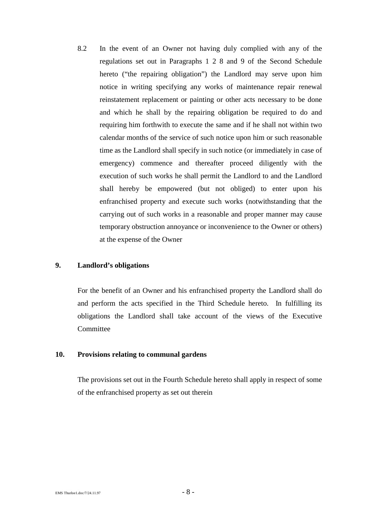<span id="page-9-0"></span>8.2 In the event of an Owner not having duly complied with any of the regulations set out in Paragraphs 1 2 8 and 9 of the Second Schedule hereto ("the repairing obligation") the Landlord may serve upon him notice in writing specifying any works of maintenance repair renewal reinstatement replacement or painting or other acts necessary to be done and which he shall by the repairing obligation be required to do and requiring him forthwith to execute the same and if he shall not within two calendar months of the service of such notice upon him or such reasonable time as the Landlord shall specify in such notice (or immediately in case of emergency) commence and thereafter proceed diligently with the execution of such works he shall permit the Landlord to and the Landlord shall hereby be empowered (but not obliged) to enter upon his enfranchised property and execute such works (notwithstanding that the carrying out of such works in a reasonable and proper manner may cause temporary obstruction annoyance or inconvenience to the Owner or others) at the expense of the Owner

### **9. Landlord's obligations**

For the benefit of an Owner and his enfranchised property the Landlord shall do and perform the acts specified in the Third Schedule hereto.In fulfilling its obligations the Landlord shall take account of the views of the Executive **Committee** 

### **10. Provisions relating to communal gardens**

The provisions set out in the Fourth Schedule hereto shall apply in respect of some of the enfranchised property as set out therein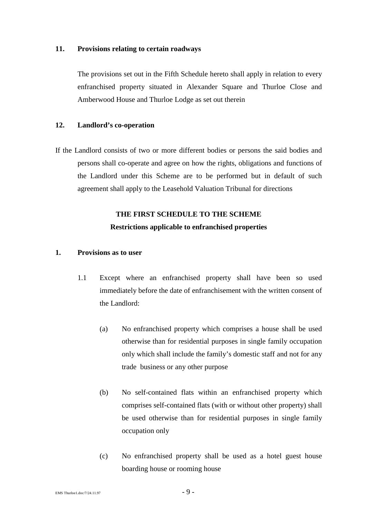#### <span id="page-10-0"></span>**11. Provisions relating to certain roadways**

The provisions set out in the Fifth Schedule hereto shall apply in relation to every enfranchised property situated in Alexander Square and Thurloe Close and Amberwood House and Thurloe Lodge as set out therein

### **12. Landlord's co-operation**

If the Landlord consists of two or more different bodies or persons the said bodies and persons shall co-operate and agree on how the rights, obligations and functions of the Landlord under this Scheme are to be performed but in default of such agreement shall apply to the Leasehold Valuation Tribunal for directions

### **THE FIRST SCHEDULE TO THE SCHEME Restrictions applicable to enfranchised properties**

### **1. Provisions as to user**

- 1.1 Except where an enfranchised property shall have been so used immediately before the date of enfranchisement with the written consent of the Landlord:
	- (a) No enfranchised property which comprises a house shall be used otherwise than for residential purposes in single family occupation only which shall include the family's domestic staff and not for any trade business or any other purpose
	- (b) No self-contained flats within an enfranchised property which comprises self-contained flats (with or without other property) shall be used otherwise than for residential purposes in single family occupation only
	- (c) No enfranchised property shall be used as a hotel guest house boarding house or rooming house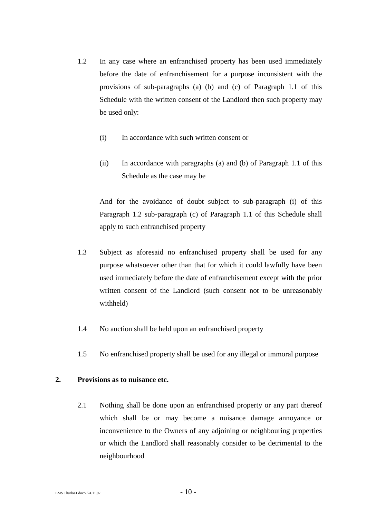- 1.2 In any case where an enfranchised property has been used immediately before the date of enfranchisement for a purpose inconsistent with the provisions of sub-paragraphs (a) (b) and (c) of Paragraph 1.1 of this Schedule with the written consent of the Landlord then such property may be used only:
	- (i) In accordance with such written consent or
	- (ii) In accordance with paragraphs (a) and (b) of Paragraph 1.1 of this Schedule as the case may be

And for the avoidance of doubt subject to sub-paragraph (i) of this Paragraph 1.2 sub-paragraph (c) of Paragraph 1.1 of this Schedule shall apply to such enfranchised property

- 1.3 Subject as aforesaid no enfranchised property shall be used for any purpose whatsoever other than that for which it could lawfully have been used immediately before the date of enfranchisement except with the prior written consent of the Landlord (such consent not to be unreasonably withheld)
- 1.4 No auction shall be held upon an enfranchised property
- 1.5 No enfranchised property shall be used for any illegal or immoral purpose

### **2. Provisions as to nuisance etc.**

2.1 Nothing shall be done upon an enfranchised property or any part thereof which shall be or may become a nuisance damage annoyance or inconvenience to the Owners of any adjoining or neighbouring properties or which the Landlord shall reasonably consider to be detrimental to the neighbourhood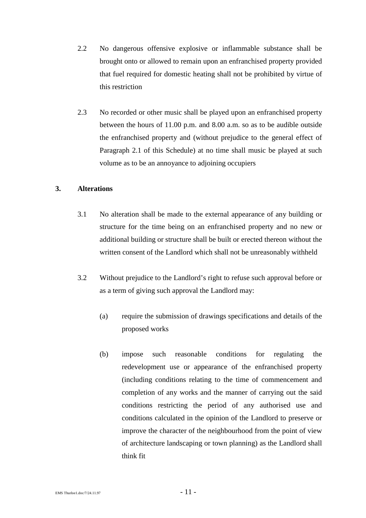- 2.2 No dangerous offensive explosive or inflammable substance shall be brought onto or allowed to remain upon an enfranchised property provided that fuel required for domestic heating shall not be prohibited by virtue of this restriction
- 2.3 No recorded or other music shall be played upon an enfranchised property between the hours of 11.00 p.m. and 8.00 a.m. so as to be audible outside the enfranchised property and (without prejudice to the general effect of Paragraph 2.1 of this Schedule) at no time shall music be played at such volume as to be an annoyance to adjoining occupiers

### **3. Alterations**

- 3.1 No alteration shall be made to the external appearance of any building or structure for the time being on an enfranchised property and no new or additional building or structure shall be built or erected thereon without the written consent of the Landlord which shall not be unreasonably withheld
- 3.2 Without prejudice to the Landlord's right to refuse such approval before or as a term of giving such approval the Landlord may:
	- (a) require the submission of drawings specifications and details of the proposed works
	- (b) impose such reasonable conditions for regulating the redevelopment use or appearance of the enfranchised property (including conditions relating to the time of commencement and completion of any works and the manner of carrying out the said conditions restricting the period of any authorised use and conditions calculated in the opinion of the Landlord to preserve or improve the character of the neighbourhood from the point of view of architecture landscaping or town planning) as the Landlord shall think fit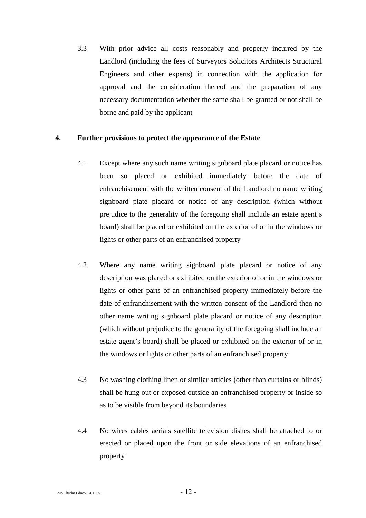3.3 With prior advice all costs reasonably and properly incurred by the Landlord (including the fees of Surveyors Solicitors Architects Structural Engineers and other experts) in connection with the application for approval and the consideration thereof and the preparation of any necessary documentation whether the same shall be granted or not shall be borne and paid by the applicant

### **4. Further provisions to protect the appearance of the Estate**

- 4.1 Except where any such name writing signboard plate placard or notice has been so placed or exhibited immediately before the date of enfranchisement with the written consent of the Landlord no name writing signboard plate placard or notice of any description (which without prejudice to the generality of the foregoing shall include an estate agent's board) shall be placed or exhibited on the exterior of or in the windows or lights or other parts of an enfranchised property
- 4.2 Where any name writing signboard plate placard or notice of any description was placed or exhibited on the exterior of or in the windows or lights or other parts of an enfranchised property immediately before the date of enfranchisement with the written consent of the Landlord then no other name writing signboard plate placard or notice of any description (which without prejudice to the generality of the foregoing shall include an estate agent's board) shall be placed or exhibited on the exterior of or in the windows or lights or other parts of an enfranchised property
- 4.3 No washing clothing linen or similar articles (other than curtains or blinds) shall be hung out or exposed outside an enfranchised property or inside so as to be visible from beyond its boundaries
- 4.4 No wires cables aerials satellite television dishes shall be attached to or erected or placed upon the front or side elevations of an enfranchised property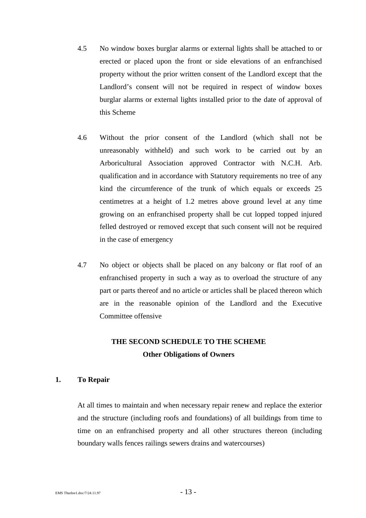- 4.5 No window boxes burglar alarms or external lights shall be attached to or erected or placed upon the front or side elevations of an enfranchised property without the prior written consent of the Landlord except that the Landlord's consent will not be required in respect of window boxes burglar alarms or external lights installed prior to the date of approval of this Scheme
- 4.6 Without the prior consent of the Landlord (which shall not be unreasonably withheld) and such work to be carried out by an Arboricultural Association approved Contractor with N.C.H. Arb. qualification and in accordance with Statutory requirements no tree of any kind the circumference of the trunk of which equals or exceeds 25 centimetres at a height of 1.2 metres above ground level at any time growing on an enfranchised property shall be cut lopped topped injured felled destroyed or removed except that such consent will not be required in the case of emergency
- 4.7 No object or objects shall be placed on any balcony or flat roof of an enfranchised property in such a way as to overload the structure of any part or parts thereof and no article or articles shall be placed thereon which are in the reasonable opinion of the Landlord and the Executive Committee offensive

### **THE SECOND SCHEDULE TO THE SCHEME Other Obligations of Owners**

### **1. To Repair**

At all times to maintain and when necessary repair renew and replace the exterior and the structure (including roofs and foundations) of all buildings from time to time on an enfranchised property and all other structures thereon (including boundary walls fences railings sewers drains and watercourses)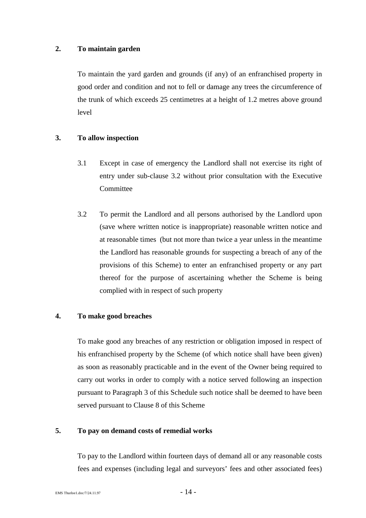### **2. To maintain garden**

To maintain the yard garden and grounds (if any) of an enfranchised property in good order and condition and not to fell or damage any trees the circumference of the trunk of which exceeds 25 centimetres at a height of 1.2 metres above ground level

### **3. To allow inspection**

- 3.1 Except in case of emergency the Landlord shall not exercise its right of entry under sub-clause 3.2 without prior consultation with the Executive **Committee**
- 3.2 To permit the Landlord and all persons authorised by the Landlord upon (save where written notice is inappropriate) reasonable written notice and at reasonable times (but not more than twice a year unless in the meantime the Landlord has reasonable grounds for suspecting a breach of any of the provisions of this Scheme) to enter an enfranchised property or any part thereof for the purpose of ascertaining whether the Scheme is being complied with in respect of such property

### **4. To make good breaches**

To make good any breaches of any restriction or obligation imposed in respect of his enfranchised property by the Scheme (of which notice shall have been given) as soon as reasonably practicable and in the event of the Owner being required to carry out works in order to comply with a notice served following an inspection pursuant to Paragraph 3 of this Schedule such notice shall be deemed to have been served pursuant to Clause 8 of this Scheme

### **5. To pay on demand costs of remedial works**

To pay to the Landlord within fourteen days of demand all or any reasonable costs fees and expenses (including legal and surveyors' fees and other associated fees)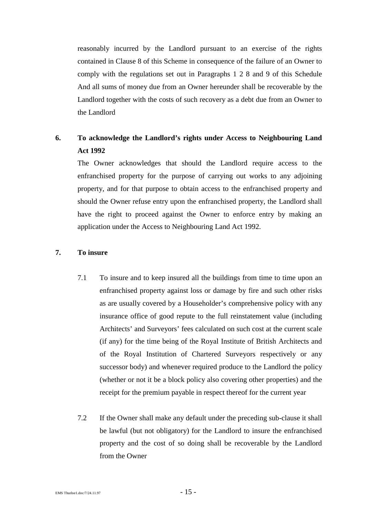reasonably incurred by the Landlord pursuant to an exercise of the rights contained in Clause 8 of this Scheme in consequence of the failure of an Owner to comply with the regulations set out in Paragraphs 1 2 8 and 9 of this Schedule And all sums of money due from an Owner hereunder shall be recoverable by the Landlord together with the costs of such recovery as a debt due from an Owner to the Landlord

### **6. To acknowledge the Landlord's rights under Access to Neighbouring Land Act 1992**

The Owner acknowledges that should the Landlord require access to the enfranchised property for the purpose of carrying out works to any adjoining property, and for that purpose to obtain access to the enfranchised property and should the Owner refuse entry upon the enfranchised property, the Landlord shall have the right to proceed against the Owner to enforce entry by making an application under the Access to Neighbouring Land Act 1992.

### **7. To insure**

- 7.1 To insure and to keep insured all the buildings from time to time upon an enfranchised property against loss or damage by fire and such other risks as are usually covered by a Householder's comprehensive policy with any insurance office of good repute to the full reinstatement value (including Architects' and Surveyors' fees calculated on such cost at the current scale (if any) for the time being of the Royal Institute of British Architects and of the Royal Institution of Chartered Surveyors respectively or any successor body) and whenever required produce to the Landlord the policy (whether or not it be a block policy also covering other properties) and the receipt for the premium payable in respect thereof for the current year
- 7.2 If the Owner shall make any default under the preceding sub-clause it shall be lawful (but not obligatory) for the Landlord to insure the enfranchised property and the cost of so doing shall be recoverable by the Landlord from the Owner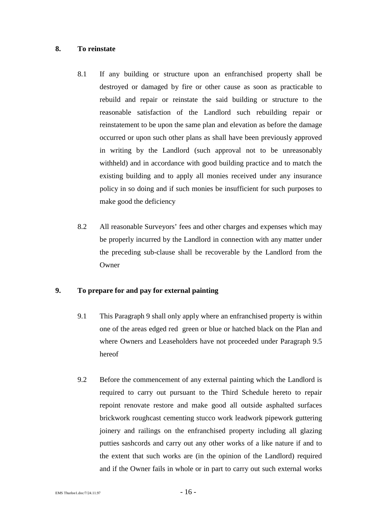### **8. To reinstate**

- 8.1 If any building or structure upon an enfranchised property shall be destroyed or damaged by fire or other cause as soon as practicable to rebuild and repair or reinstate the said building or structure to the reasonable satisfaction of the Landlord such rebuilding repair or reinstatement to be upon the same plan and elevation as before the damage occurred or upon such other plans as shall have been previously approved in writing by the Landlord (such approval not to be unreasonably withheld) and in accordance with good building practice and to match the existing building and to apply all monies received under any insurance policy in so doing and if such monies be insufficient for such purposes to make good the deficiency
- 8.2 All reasonable Surveyors' fees and other charges and expenses which may be properly incurred by the Landlord in connection with any matter under the preceding sub-clause shall be recoverable by the Landlord from the **Owner**

### **9. To prepare for and pay for external painting**

- 9.1 This Paragraph 9 shall only apply where an enfranchised property is within one of the areas edged red green or blue or hatched black on the Plan and where Owners and Leaseholders have not proceeded under Paragraph 9.5 hereof
- 9.2 Before the commencement of any external painting which the Landlord is required to carry out pursuant to the Third Schedule hereto to repair repoint renovate restore and make good all outside asphalted surfaces brickwork roughcast cementing stucco work leadwork pipework guttering joinery and railings on the enfranchised property including all glazing putties sashcords and carry out any other works of a like nature if and to the extent that such works are (in the opinion of the Landlord) required and if the Owner fails in whole or in part to carry out such external works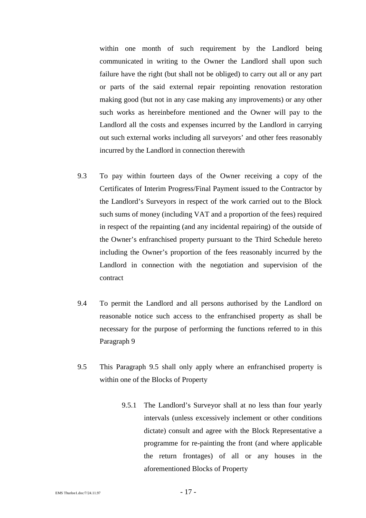within one month of such requirement by the Landlord being communicated in writing to the Owner the Landlord shall upon such failure have the right (but shall not be obliged) to carry out all or any part or parts of the said external repair repointing renovation restoration making good (but not in any case making any improvements) or any other such works as hereinbefore mentioned and the Owner will pay to the Landlord all the costs and expenses incurred by the Landlord in carrying out such external works including all surveyors' and other fees reasonably incurred by the Landlord in connection therewith

- 9.3 To pay within fourteen days of the Owner receiving a copy of the Certificates of Interim Progress/Final Payment issued to the Contractor by the Landlord's Surveyors in respect of the work carried out to the Block such sums of money (including VAT and a proportion of the fees) required in respect of the repainting (and any incidental repairing) of the outside of the Owner's enfranchised property pursuant to the Third Schedule hereto including the Owner's proportion of the fees reasonably incurred by the Landlord in connection with the negotiation and supervision of the contract
- 9.4 To permit the Landlord and all persons authorised by the Landlord on reasonable notice such access to the enfranchised property as shall be necessary for the purpose of performing the functions referred to in this Paragraph 9
- 9.5 This Paragraph 9.5 shall only apply where an enfranchised property is within one of the Blocks of Property
	- 9.5.1 The Landlord's Surveyor shall at no less than four yearly intervals (unless excessively inclement or other conditions dictate) consult and agree with the Block Representative a programme for re-painting the front (and where applicable the return frontages) of all or any houses in the aforementioned Blocks of Property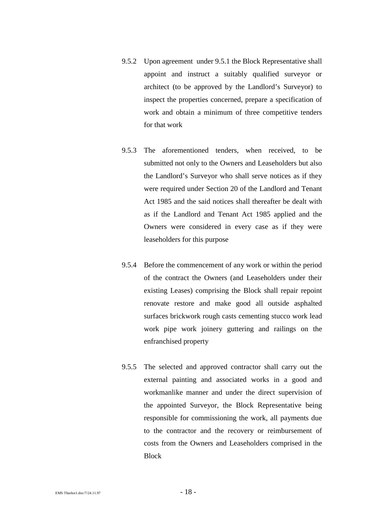- 9.5.2 Upon agreement under 9.5.1 the Block Representative shall appoint and instruct a suitably qualified surveyor or architect (to be approved by the Landlord's Surveyor) to inspect the properties concerned, prepare a specification of work and obtain a minimum of three competitive tenders for that work
- 9.5.3 The aforementioned tenders, when received, to be submitted not only to the Owners and Leaseholders but also the Landlord's Surveyor who shall serve notices as if they were required under Section 20 of the Landlord and Tenant Act 1985 and the said notices shall thereafter be dealt with as if the Landlord and Tenant Act 1985 applied and the Owners were considered in every case as if they were leaseholders for this purpose
- 9.5.4 Before the commencement of any work or within the period of the contract the Owners (and Leaseholders under their existing Leases) comprising the Block shall repair repoint renovate restore and make good all outside asphalted surfaces brickwork rough casts cementing stucco work lead work pipe work joinery guttering and railings on the enfranchised property
- 9.5.5 The selected and approved contractor shall carry out the external painting and associated works in a good and workmanlike manner and under the direct supervision of the appointed Surveyor, the Block Representative being responsible for commissioning the work, all payments due to the contractor and the recovery or reimbursement of costs from the Owners and Leaseholders comprised in the **Block**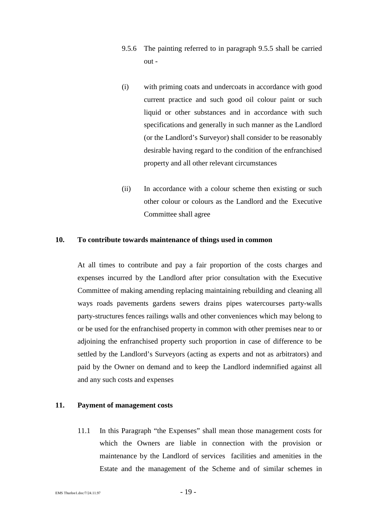- 9.5.6 The painting referred to in paragraph 9.5.5 shall be carried out -
- (i) with priming coats and undercoats in accordance with good current practice and such good oil colour paint or such liquid or other substances and in accordance with such specifications and generally in such manner as the Landlord (or the Landlord's Surveyor) shall consider to be reasonably desirable having regard to the condition of the enfranchised property and all other relevant circumstances
- (ii) In accordance with a colour scheme then existing or such other colour or colours as the Landlord and the Executive Committee shall agree

#### **10. To contribute towards maintenance of things used in common**

At all times to contribute and pay a fair proportion of the costs charges and expenses incurred by the Landlord after prior consultation with the Executive Committee of making amending replacing maintaining rebuilding and cleaning all ways roads pavements gardens sewers drains pipes watercourses party-walls party-structures fences railings walls and other conveniences which may belong to or be used for the enfranchised property in common with other premises near to or adjoining the enfranchised property such proportion in case of difference to be settled by the Landlord's Surveyors (acting as experts and not as arbitrators) and paid by the Owner on demand and to keep the Landlord indemnified against all and any such costs and expenses

#### **11. Payment of management costs**

11.1 In this Paragraph "the Expenses" shall mean those management costs for which the Owners are liable in connection with the provision or maintenance by the Landlord of services facilities and amenities in the Estate and the management of the Scheme and of similar schemes in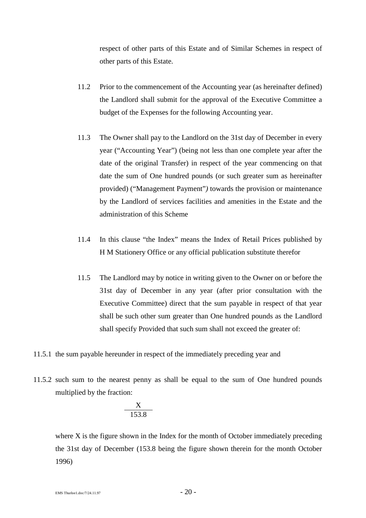respect of other parts of this Estate and of Similar Schemes in respect of other parts of this Estate.

- 11.2 Prior to the commencement of the Accounting year (as hereinafter defined) the Landlord shall submit for the approval of the Executive Committee a budget of the Expenses for the following Accounting year.
- 11.3 The Owner shall pay to the Landlord on the 31st day of December in every year ("Accounting Year") (being not less than one complete year after the date of the original Transfer) in respect of the year commencing on that date the sum of One hundred pounds (or such greater sum as hereinafter provided) ("Management Payment"*)* towards the provision or maintenance by the Landlord of services facilities and amenities in the Estate and the administration of this Scheme
- 11.4 In this clause "the Index" means the Index of Retail Prices published by H M Stationery Office or any official publication substitute therefor
- 11.5 The Landlord may by notice in writing given to the Owner on or before the 31st day of December in any year (after prior consultation with the Executive Committee) direct that the sum payable in respect of that year shall be such other sum greater than One hundred pounds as the Landlord shall specify Provided that such sum shall not exceed the greater of:
- 11.5.1 the sum payable hereunder in respect of the immediately preceding year and
- 11.5.2 such sum to the nearest penny as shall be equal to the sum of One hundred pounds multiplied by the fraction:

$$
\frac{X}{153.8}
$$

where X is the figure shown in the Index for the month of October immediately preceding the 31st day of December (153.8 being the figure shown therein for the month October 1996)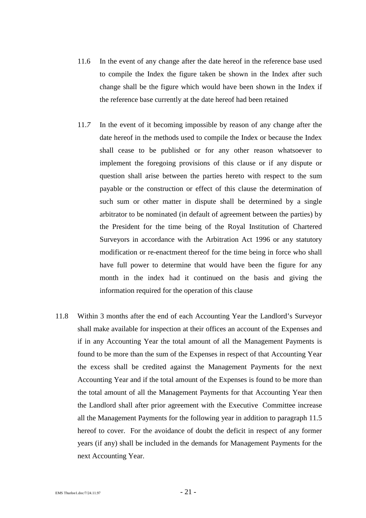- 11.6 In the event of any change after the date hereof in the reference base used to compile the Index the figure taken be shown in the Index after such change shall be the figure which would have been shown in the Index if the reference base currently at the date hereof had been retained
- 11.*7* In the event of it becoming impossible by reason of any change after the date hereof in the methods used to compile the Index or because the Index shall cease to be published or for any other reason whatsoever to implement the foregoing provisions of this clause or if any dispute or question shall arise between the parties hereto with respect to the sum payable or the construction or effect of this clause the determination of such sum or other matter in dispute shall be determined by a single arbitrator to be nominated (in default of agreement between the parties) by the President for the time being of the Royal Institution of Chartered Surveyors in accordance with the Arbitration Act 1996 or any statutory modification or re-enactment thereof for the time being in force who shall have full power to determine that would have been the figure for any month in the index had it continued on the basis and giving the information required for the operation of this clause
- 11.8 Within 3 months after the end of each Accounting Year the Landlord's Surveyor shall make available for inspection at their offices an account of the Expenses and if in any Accounting Year the total amount of all the Management Payments is found to be more than the sum of the Expenses in respect of that Accounting Year the excess shall be credited against the Management Payments for the next Accounting Year and if the total amount of the Expenses is found to be more than the total amount of all the Management Payments for that Accounting Year then the Landlord shall after prior agreement with the Executive Committee increase all the Management Payments for the following year in addition to paragraph 11.5 hereof to cover. For the avoidance of doubt the deficit in respect of any former years (if any) shall be included in the demands for Management Payments for the next Accounting Year.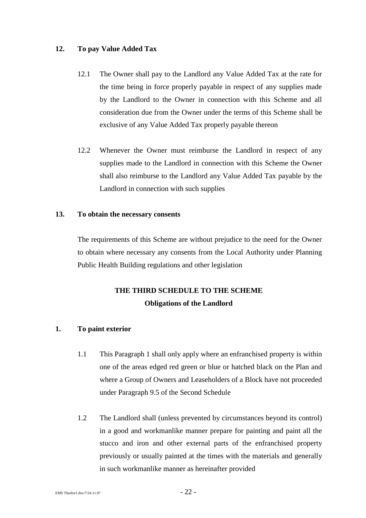### **12. To pay Value Added Tax**

- 12.1 The Owner shall pay to the Landlord any Value Added Tax at the rate for the time being in force properly payable in respect of any supplies made by the Landlord to the Owner in connection with this Scheme and all consideration due from the Owner under the terms of this Scheme shall be exclusive of any Value Added Tax properly payable thereon
- 12.2 Whenever the Owner must reimburse the Landlord in respect of any supplies made to the Landlord in connection with this Scheme the Owner shall also reimburse to the Landlord any Value Added Tax payable by the Landlord in connection with such supplies

### **13. To obtain the necessary consents**

The requirements of this Scheme are without prejudice to the need for the Owner to obtain where necessary any consents from the Local Authority under Planning Public Health Building regulations and other legislation

### **THE THIRD SCHEDULE TO THE SCHEME Obligations of the Landlord**

### **1. To paint exterior**

- 1.1 This Paragraph 1 shall only apply where an enfranchised property is within one of the areas edged red green or blue or hatched black on the Plan and where a Group of Owners and Leaseholders of a Block have not proceeded under Paragraph 9.5 of the Second Schedule
- 1.2 The Landlord shall (unless prevented by circumstances beyond its control) in a good and workmanlike manner prepare for painting and paint all the stucco and iron and other external parts of the enfranchised property previously or usually painted at the times with the materials and generally in such workmanlike manner as hereinafter provided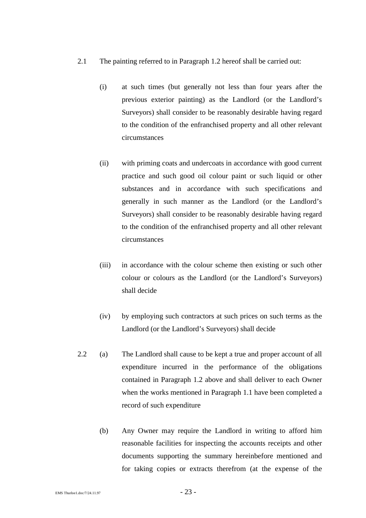- 2.1 The painting referred to in Paragraph 1.2 hereof shall be carried out:
	- (i) at such times (but generally not less than four years after the previous exterior painting) as the Landlord (or the Landlord's Surveyors) shall consider to be reasonably desirable having regard to the condition of the enfranchised property and all other relevant circumstances
	- (ii) with priming coats and undercoats in accordance with good current practice and such good oil colour paint or such liquid or other substances and in accordance with such specifications and generally in such manner as the Landlord (or the Landlord's Surveyors) shall consider to be reasonably desirable having regard to the condition of the enfranchised property and all other relevant circumstances
	- (iii) in accordance with the colour scheme then existing or such other colour or colours as the Landlord (or the Landlord's Surveyors) shall decide
	- (iv) by employing such contractors at such prices on such terms as the Landlord (or the Landlord's Surveyors) shall decide
- 2.2 (a) The Landlord shall cause to be kept a true and proper account of all expenditure incurred in the performance of the obligations contained in Paragraph 1.2 above and shall deliver to each Owner when the works mentioned in Paragraph 1.1 have been completed a record of such expenditure
	- (b) Any Owner may require the Landlord in writing to afford him reasonable facilities for inspecting the accounts receipts and other documents supporting the summary hereinbefore mentioned and for taking copies or extracts therefrom (at the expense of the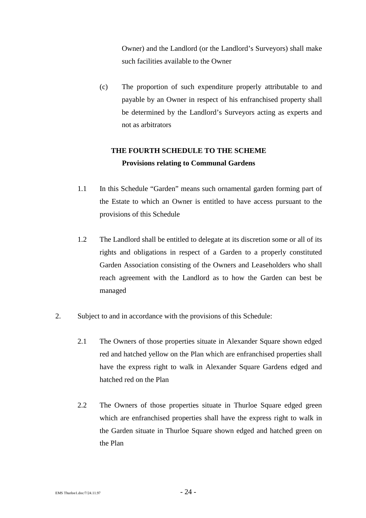Owner) and the Landlord (or the Landlord's Surveyors) shall make such facilities available to the Owner

(c) The proportion of such expenditure properly attributable to and payable by an Owner in respect of his enfranchised property shall be determined by the Landlord's Surveyors acting as experts and not as arbitrators

### **THE FOURTH SCHEDULE TO THE SCHEME Provisions relating to Communal Gardens**

- 1.1 In this Schedule "Garden" means such ornamental garden forming part of the Estate to which an Owner is entitled to have access pursuant to the provisions of this Schedule
- 1.2 The Landlord shall be entitled to delegate at its discretion some or all of its rights and obligations in respect of a Garden to a properly constituted Garden Association consisting of the Owners and Leaseholders who shall reach agreement with the Landlord as to how the Garden can best be managed
- 2. Subject to and in accordance with the provisions of this Schedule:
	- 2.1 The Owners of those properties situate in Alexander Square shown edged red and hatched yellow on the Plan which are enfranchised properties shall have the express right to walk in Alexander Square Gardens edged and hatched red on the Plan
	- 2.2 The Owners of those properties situate in Thurloe Square edged green which are enfranchised properties shall have the express right to walk in the Garden situate in Thurloe Square shown edged and hatched green on the Plan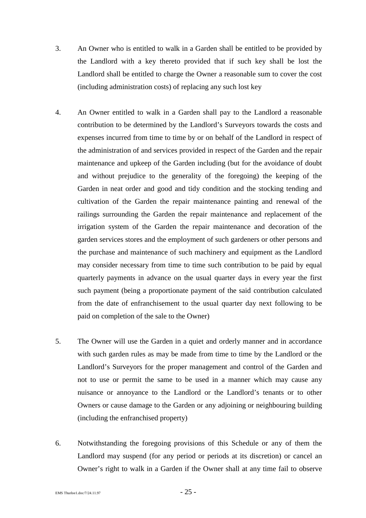- 3. An Owner who is entitled to walk in a Garden shall be entitled to be provided by the Landlord with a key thereto provided that if such key shall be lost the Landlord shall be entitled to charge the Owner a reasonable sum to cover the cost (including administration costs) of replacing any such lost key
- 4. An Owner entitled to walk in a Garden shall pay to the Landlord a reasonable contribution to be determined by the Landlord's Surveyors towards the costs and expenses incurred from time to time by or on behalf of the Landlord in respect of the administration of and services provided in respect of the Garden and the repair maintenance and upkeep of the Garden including (but for the avoidance of doubt and without prejudice to the generality of the foregoing) the keeping of the Garden in neat order and good and tidy condition and the stocking tending and cultivation of the Garden the repair maintenance painting and renewal of the railings surrounding the Garden the repair maintenance and replacement of the irrigation system of the Garden the repair maintenance and decoration of the garden services stores and the employment of such gardeners or other persons and the purchase and maintenance of such machinery and equipment as the Landlord may consider necessary from time to time such contribution to be paid by equal quarterly payments in advance on the usual quarter days in every year the first such payment (being a proportionate payment of the said contribution calculated from the date of enfranchisement to the usual quarter day next following to be paid on completion of the sale to the Owner)
- 5. The Owner will use the Garden in a quiet and orderly manner and in accordance with such garden rules as may be made from time to time by the Landlord or the Landlord's Surveyors for the proper management and control of the Garden and not to use or permit the same to be used in a manner which may cause any nuisance or annoyance to the Landlord or the Landlord's tenants or to other Owners or cause damage to the Garden or any adjoining or neighbouring building (including the enfranchised property)
- 6. Notwithstanding the foregoing provisions of this Schedule or any of them the Landlord may suspend (for any period or periods at its discretion) or cancel an Owner's right to walk in a Garden if the Owner shall at any time fail to observe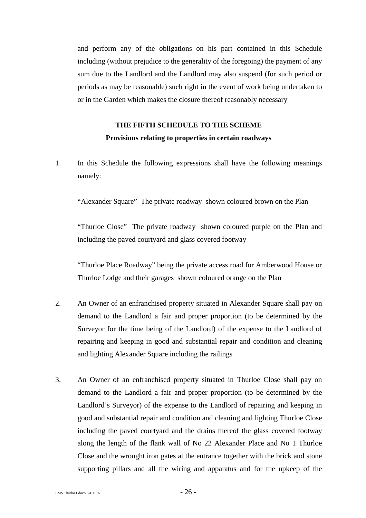and perform any of the obligations on his part contained in this Schedule including (without prejudice to the generality of the foregoing) the payment of any sum due to the Landlord and the Landlord may also suspend (for such period or periods as may be reasonable) such right in the event of work being undertaken to or in the Garden which makes the closure thereof reasonably necessary

### **THE FIFTH SCHEDULE TO THE SCHEME Provisions relating to properties in certain roadways**

1. In this Schedule the following expressions shall have the following meanings namely:

"Alexander Square" The private roadway shown coloured brown on the Plan

"Thurloe Close" The private roadway shown coloured purple on the Plan and including the paved courtyard and glass covered footway

"Thurloe Place Roadway" being the private access road for Amberwood House or Thurloe Lodge and their garages shown coloured orange on the Plan

- 2. An Owner of an enfranchised property situated in Alexander Square shall pay on demand to the Landlord a fair and proper proportion (to be determined by the Surveyor for the time being of the Landlord) of the expense to the Landlord of repairing and keeping in good and substantial repair and condition and cleaning and lighting Alexander Square including the railings
- 3. An Owner of an enfranchised property situated in Thurloe Close shall pay on demand to the Landlord a fair and proper proportion (to be determined by the Landlord's Surveyor) of the expense to the Landlord of repairing and keeping in good and substantial repair and condition and cleaning and lighting Thurloe Close including the paved courtyard and the drains thereof the glass covered footway along the length of the flank wall of No 22 Alexander Place and No 1 Thurloe Close and the wrought iron gates at the entrance together with the brick and stone supporting pillars and all the wiring and apparatus and for the upkeep of the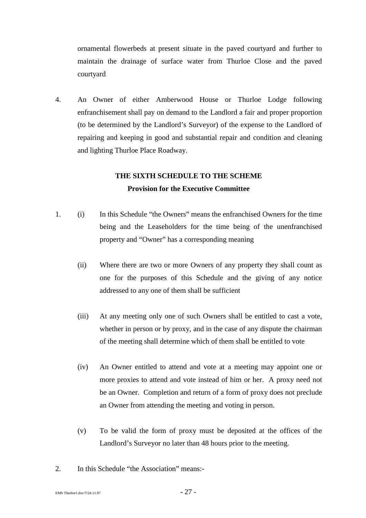ornamental flowerbeds at present situate in the paved courtyard and further to maintain the drainage of surface water from Thurloe Close and the paved courtyard

4. An Owner of either Amberwood House or Thurloe Lodge following enfranchisement shall pay on demand to the Landlord a fair and proper proportion (to be determined by the Landlord's Surveyor) of the expense to the Landlord of repairing and keeping in good and substantial repair and condition and cleaning and lighting Thurloe Place Roadway.

### **THE SIXTH SCHEDULE TO THE SCHEME Provision for the Executive Committee**

- 1. (i) In this Schedule "the Owners" means the enfranchised Owners for the time being and the Leaseholders for the time being of the unenfranchised property and "Owner" has a corresponding meaning
	- (ii) Where there are two or more Owners of any property they shall count as one for the purposes of this Schedule and the giving of any notice addressed to any one of them shall be sufficient
	- (iii) At any meeting only one of such Owners shall be entitled to cast a vote, whether in person or by proxy, and in the case of any dispute the chairman of the meeting shall determine which of them shall be entitled to vote
	- (iv) An Owner entitled to attend and vote at a meeting may appoint one or more proxies to attend and vote instead of him or her. A proxy need not be an Owner. Completion and return of a form of proxy does not preclude an Owner from attending the meeting and voting in person.
	- (v) To be valid the form of proxy must be deposited at the offices of the Landlord's Surveyor no later than 48 hours prior to the meeting.
- 2. In this Schedule "the Association" means:-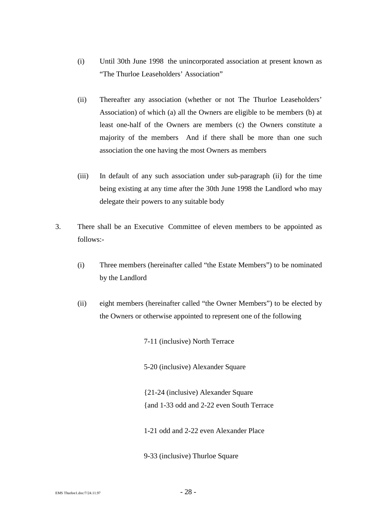- (i) Until 30th June 1998 the unincorporated association at present known as "The Thurloe Leaseholders' Association"
- (ii) Thereafter any association (whether or not The Thurloe Leaseholders' Association) of which (a) all the Owners are eligible to be members (b) at least one-half of the Owners are members (c) the Owners constitute a majority of the members And if there shall be more than one such association the one having the most Owners as members
- (iii) In default of any such association under sub-paragraph (ii) for the time being existing at any time after the 30th June 1998 the Landlord who may delegate their powers to any suitable body
- 3. There shall be an Executive Committee of eleven members to be appointed as follows:-
	- (i) Three members (hereinafter called "the Estate Members") to be nominated by the Landlord
	- (ii) eight members (hereinafter called "the Owner Members") to be elected by the Owners or otherwise appointed to represent one of the following

7-11 (inclusive) North Terrace

5-20 (inclusive) Alexander Square

{21-24 (inclusive) Alexander Square {and 1-33 odd and 2-22 even South Terrace

- 1-21 odd and 2-22 even Alexander Place
- 9-33 (inclusive) Thurloe Square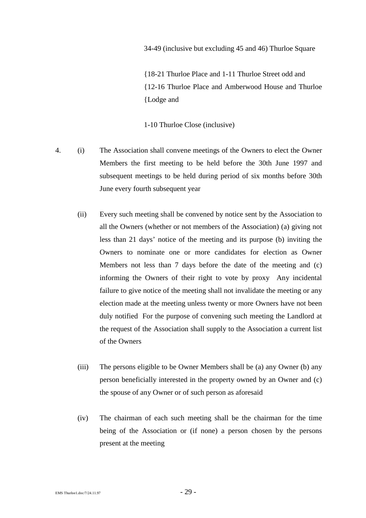34-49 (inclusive but excluding 45 and 46) Thurloe Square

{18-21 Thurloe Place and 1-11 Thurloe Street odd and {12-16 Thurloe Place and Amberwood House and Thurloe {Lodge and

1-10 Thurloe Close (inclusive)

- 4. (i) The Association shall convene meetings of the Owners to elect the Owner Members the first meeting to be held before the 30th June 1997 and subsequent meetings to be held during period of six months before 30th June every fourth subsequent year
	- (ii) Every such meeting shall be convened by notice sent by the Association to all the Owners (whether or not members of the Association) (a) giving not less than 21 days' notice of the meeting and its purpose (b) inviting the Owners to nominate one or more candidates for election as Owner Members not less than 7 days before the date of the meeting and (c) informing the Owners of their right to vote by proxy Any incidental failure to give notice of the meeting shall not invalidate the meeting or any election made at the meeting unless twenty or more Owners have not been duly notified For the purpose of convening such meeting the Landlord at the request of the Association shall supply to the Association a current list of the Owners
	- (iii) The persons eligible to be Owner Members shall be (a) any Owner (b) any person beneficially interested in the property owned by an Owner and (c) the spouse of any Owner or of such person as aforesaid
	- (iv) The chairman of each such meeting shall be the chairman for the time being of the Association or (if none) a person chosen by the persons present at the meeting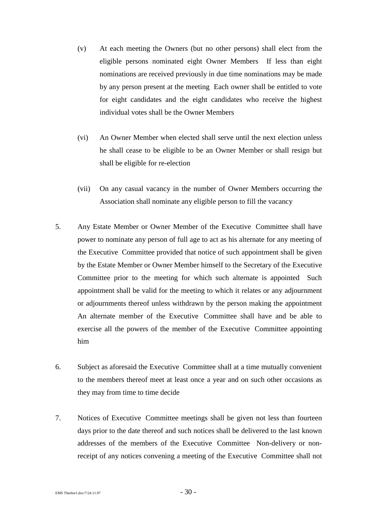- (v) At each meeting the Owners (but no other persons) shall elect from the eligible persons nominated eight Owner Members If less than eight nominations are received previously in due time nominations may be made by any person present at the meeting Each owner shall be entitled to vote for eight candidates and the eight candidates who receive the highest individual votes shall be the Owner Members
- (vi) An Owner Member when elected shall serve until the next election unless he shall cease to be eligible to be an Owner Member or shall resign but shall be eligible for re-election
- (vii) On any casual vacancy in the number of Owner Members occurring the Association shall nominate any eligible person to fill the vacancy
- 5. Any Estate Member or Owner Member of the Executive Committee shall have power to nominate any person of full age to act as his alternate for any meeting of the Executive Committee provided that notice of such appointment shall be given by the Estate Member or Owner Member himself to the Secretary of the Executive Committee prior to the meeting for which such alternate is appointed Such appointment shall be valid for the meeting to which it relates or any adjournment or adjournments thereof unless withdrawn by the person making the appointment An alternate member of the Executive Committee shall have and be able to exercise all the powers of the member of the Executive Committee appointing him
- 6. Subject as aforesaid the Executive Committee shall at a time mutually convenient to the members thereof meet at least once a year and on such other occasions as they may from time to time decide
- 7. Notices of Executive Committee meetings shall be given not less than fourteen days prior to the date thereof and such notices shall be delivered to the last known addresses of the members of the Executive Committee Non-delivery or nonreceipt of any notices convening a meeting of the Executive Committee shall not